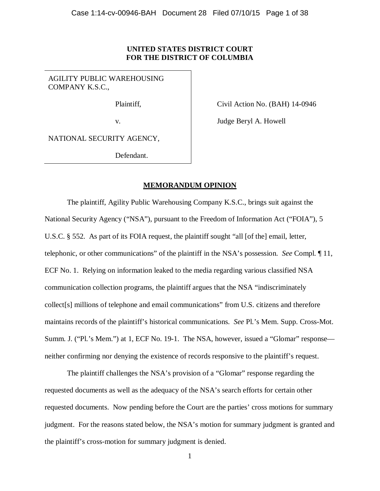# **UNITED STATES DISTRICT COURT FOR THE DISTRICT OF COLUMBIA**

AGILITY PUBLIC WAREHOUSING COMPANY K.S.C.,

Plaintiff,

Civil Action No. (BAH) 14-0946

v.

Judge Beryl A. Howell

NATIONAL SECURITY AGENCY,

Defendant.

## **MEMORANDUM OPINION**

The plaintiff, Agility Public Warehousing Company K.S.C., brings suit against the National Security Agency ("NSA"), pursuant to the Freedom of Information Act ("FOIA"), 5 U.S.C. § 552. As part of its FOIA request, the plaintiff sought "all [of the] email, letter, telephonic, or other communications" of the plaintiff in the NSA's possession. *See* Compl. ¶ 11, ECF No. 1. Relying on information leaked to the media regarding various classified NSA communication collection programs, the plaintiff argues that the NSA "indiscriminately collect[s] millions of telephone and email communications" from U.S. citizens and therefore maintains records of the plaintiff's historical communications. *See* Pl.'s Mem. Supp. Cross-Mot. Summ. J. ("Pl.'s Mem.") at 1, ECF No. 19-1. The NSA, however, issued a "Glomar" response neither confirming nor denying the existence of records responsive to the plaintiff's request.

The plaintiff challenges the NSA's provision of a "Glomar" response regarding the requested documents as well as the adequacy of the NSA's search efforts for certain other requested documents. Now pending before the Court are the parties' cross motions for summary judgment. For the reasons stated below, the NSA's motion for summary judgment is granted and the plaintiff's cross-motion for summary judgment is denied.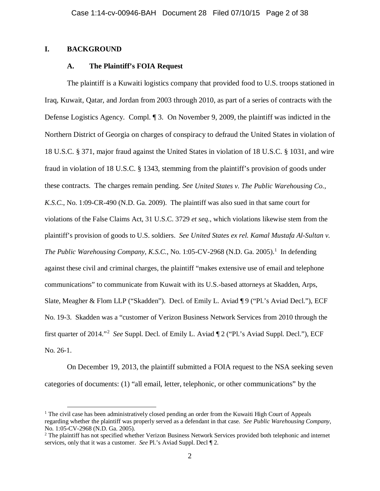## **I. BACKGROUND**

## **A. The Plaintiff's FOIA Request**

The plaintiff is a Kuwaiti logistics company that provided food to U.S. troops stationed in Iraq, Kuwait, Qatar, and Jordan from 2003 through 2010, as part of a series of contracts with the Defense Logistics Agency. Compl. ¶ 3. On November 9, 2009, the plaintiff was indicted in the Northern District of Georgia on charges of conspiracy to defraud the United States in violation of 18 U.S.C. § 371, major fraud against the United States in violation of 18 U.S.C. § 1031, and wire fraud in violation of 18 U.S.C. § 1343, stemming from the plaintiff's provision of goods under these contracts. The charges remain pending. *See United States v. The Public Warehousing Co., K.S.C.*, No. 1:09-CR-490 (N.D. Ga. 2009). The plaintiff was also sued in that same court for violations of the False Claims Act, 31 U.S.C. 3729 *et seq.*, which violations likewise stem from the plaintiff's provision of goods to U.S. soldiers. *See United States ex rel. Kamal Mustafa Al-Sultan v. The Public Warehousing Company, K.S.C., No.* [1](#page-1-0):05-CV-2968 (N.D. Ga. 2005).<sup>1</sup> In defending against these civil and criminal charges, the plaintiff "makes extensive use of email and telephone communications" to communicate from Kuwait with its U.S.-based attorneys at Skadden, Arps, Slate, Meagher & Flom LLP ("Skadden"). Decl. of Emily L. Aviad ¶ 9 ("Pl.'s Aviad Decl."), ECF No. 19-3. Skadden was a "customer of Verizon Business Network Services from 2010 through the first quarter of 2014."[2](#page-1-1) *See* Suppl. Decl. of Emily L. Aviad ¶ 2 ("Pl.'s Aviad Suppl. Decl."), ECF No. 26-1.

On December 19, 2013, the plaintiff submitted a FOIA request to the NSA seeking seven categories of documents: (1) "all email, letter, telephonic, or other communications" by the

<span id="page-1-0"></span><sup>&</sup>lt;sup>1</sup> The civil case has been administratively closed pending an order from the Kuwaiti High Court of Appeals regarding whether the plaintiff was properly served as a defendant in that case. *See Public Warehousing Company*, No. 1:05-CV-2968 (N.D. Ga. 2005).

<span id="page-1-1"></span><sup>&</sup>lt;sup>2</sup> The plaintiff has not specified whether Verizon Business Network Services provided both telephonic and internet services, only that it was a customer. *See* Pl.'s Aviad Suppl. Decl ¶ 2.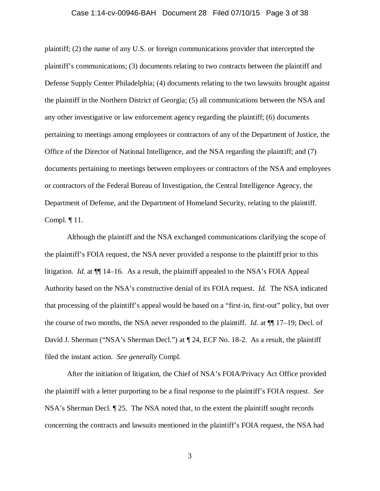## Case 1:14-cv-00946-BAH Document 28 Filed 07/10/15 Page 3 of 38

plaintiff; (2) the name of any U.S. or foreign communications provider that intercepted the plaintiff's communications; (3) documents relating to two contracts between the plaintiff and Defense Supply Center Philadelphia; (4) documents relating to the two lawsuits brought against the plaintiff in the Northern District of Georgia; (5) all communications between the NSA and any other investigative or law enforcement agency regarding the plaintiff; (6) documents pertaining to meetings among employees or contractors of any of the Department of Justice, the Office of the Director of National Intelligence, and the NSA regarding the plaintiff; and (7) documents pertaining to meetings between employees or contractors of the NSA and employees or contractors of the Federal Bureau of Investigation, the Central Intelligence Agency, the Department of Defense, and the Department of Homeland Security, relating to the plaintiff. Compl. ¶ 11.

Although the plaintiff and the NSA exchanged communications clarifying the scope of the plaintiff's FOIA request, the NSA never provided a response to the plaintiff prior to this litigation. *Id.* at ¶¶ 14–16. As a result, the plaintiff appealed to the NSA's FOIA Appeal Authority based on the NSA's constructive denial of its FOIA request. *Id.* The NSA indicated that processing of the plaintiff's appeal would be based on a "first-in, first-out" policy, but over the course of two months, the NSA never responded to the plaintiff. *Id.* at ¶¶ 17–19; Decl. of David J. Sherman ("NSA's Sherman Decl.") at  $\P$  24, ECF No. 18-2. As a result, the plaintiff filed the instant action. *See generally* Compl.

After the initiation of litigation, the Chief of NSA's FOIA/Privacy Act Office provided the plaintiff with a letter purporting to be a final response to the plaintiff's FOIA request. *See* NSA's Sherman Decl. ¶ 25. The NSA noted that, to the extent the plaintiff sought records concerning the contracts and lawsuits mentioned in the plaintiff's FOIA request, the NSA had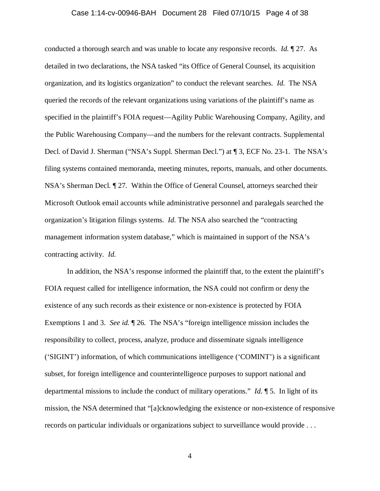## Case 1:14-cv-00946-BAH Document 28 Filed 07/10/15 Page 4 of 38

conducted a thorough search and was unable to locate any responsive records. *Id.* ¶ 27. As detailed in two declarations, the NSA tasked "its Office of General Counsel, its acquisition organization, and its logistics organization" to conduct the relevant searches. *Id.* The NSA queried the records of the relevant organizations using variations of the plaintiff's name as specified in the plaintiff's FOIA request—Agility Public Warehousing Company, Agility, and the Public Warehousing Company—and the numbers for the relevant contracts. Supplemental Decl. of David J. Sherman ("NSA's Suppl. Sherman Decl.") at ¶ 3, ECF No. 23-1. The NSA's filing systems contained memoranda, meeting minutes, reports, manuals, and other documents. NSA's Sherman Decl. ¶ 27*.* Within the Office of General Counsel, attorneys searched their Microsoft Outlook email accounts while administrative personnel and paralegals searched the organization's litigation filings systems. *Id.* The NSA also searched the "contracting management information system database," which is maintained in support of the NSA's contracting activity. *Id.*

In addition, the NSA's response informed the plaintiff that, to the extent the plaintiff's FOIA request called for intelligence information, the NSA could not confirm or deny the existence of any such records as their existence or non-existence is protected by FOIA Exemptions 1 and 3. *See id.* ¶ 26. The NSA's "foreign intelligence mission includes the responsibility to collect, process, analyze, produce and disseminate signals intelligence ('SIGINT') information, of which communications intelligence ('COMINT') is a significant subset, for foreign intelligence and counterintelligence purposes to support national and departmental missions to include the conduct of military operations." *Id.* ¶ 5. In light of its mission, the NSA determined that "[a]cknowledging the existence or non-existence of responsive records on particular individuals or organizations subject to surveillance would provide . . .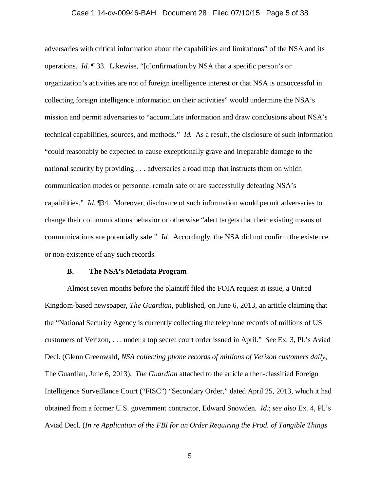# Case 1:14-cv-00946-BAH Document 28 Filed 07/10/15 Page 5 of 38

adversaries with critical information about the capabilities and limitations" of the NSA and its operations. *Id.* ¶ 33. Likewise, "[c]onfirmation by NSA that a specific person's or organization's activities are not of foreign intelligence interest or that NSA is unsuccessful in collecting foreign intelligence information on their activities" would undermine the NSA's mission and permit adversaries to "accumulate information and draw conclusions about NSA's technical capabilities, sources, and methods." *Id.* As a result, the disclosure of such information "could reasonably be expected to cause exceptionally grave and irreparable damage to the national security by providing . . . adversaries a road map that instructs them on which communication modes or personnel remain safe or are successfully defeating NSA's capabilities." *Id.* ¶34. Moreover, disclosure of such information would permit adversaries to change their communications behavior or otherwise "alert targets that their existing means of communications are potentially safe." *Id.* Accordingly, the NSA did not confirm the existence or non-existence of any such records.

## **B. The NSA's Metadata Program**

Almost seven months before the plaintiff filed the FOIA request at issue, a United Kingdom-based newspaper, *The Guardian,* published, on June 6, 2013, an article claiming that the "National Security Agency is currently collecting the telephone records of millions of US customers of Verizon, . . . under a top secret court order issued in April." *See* Ex. 3, Pl.'s Aviad Decl. (Glenn Greenwald, *NSA collecting phone records of millions of Verizon customers daily*, The Guardian, June 6, 2013). *The Guardian* attached to the article a then-classified Foreign Intelligence Surveillance Court ("FISC") "Secondary Order," dated April 25, 2013, which it had obtained from a former U.S. government contractor, Edward Snowden. *Id.*; *see also* Ex. 4, Pl.'s Aviad Decl. (*In re Application of the FBI for an Order Requiring the Prod. of Tangible Things*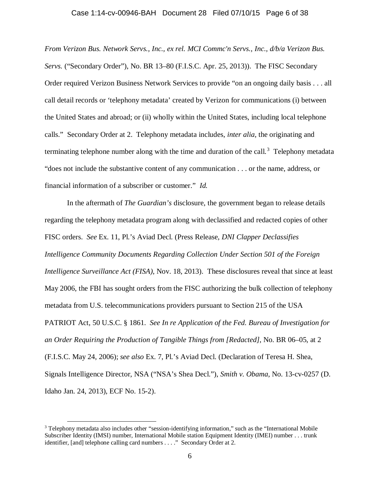## Case 1:14-cv-00946-BAH Document 28 Filed 07/10/15 Page 6 of 38

*From Verizon Bus. Network Servs., Inc., ex rel. MCI Commc'n Servs., Inc., d/b/a Verizon Bus. Servs.* ("Secondary Order"), No. BR 13–80 (F.I.S.C. Apr. 25, 2013)). The FISC Secondary Order required Verizon Business Network Services to provide "on an ongoing daily basis . . . all call detail records or 'telephony metadata' created by Verizon for communications (i) between the United States and abroad; or (ii) wholly within the United States, including local telephone calls." Secondary Order at 2. Telephony metadata includes, *inter alia*, the originating and terminating telephone number along with the time and duration of the call.<sup>[3](#page-5-0)</sup> Telephony metadata "does not include the substantive content of any communication . . . or the name, address, or financial information of a subscriber or customer." *Id.*

In the aftermath of *The Guardian's* disclosure, the government began to release details regarding the telephony metadata program along with declassified and redacted copies of other FISC orders. *See* Ex. 11, Pl.'s Aviad Decl. (Press Release, *DNI Clapper Declassifies Intelligence Community Documents Regarding Collection Under Section 501 of the Foreign Intelligence Surveillance Act (FISA)*, Nov. 18, 2013). These disclosures reveal that since at least May 2006, the FBI has sought orders from the FISC authorizing the bulk collection of telephony metadata from U.S. telecommunications providers pursuant to Section 215 of the USA PATRIOT Act, 50 U.S.C. § 1861. *See In re Application of the Fed. Bureau of Investigation for an Order Requiring the Production of Tangible Things from [Redacted]*, No. BR 06–05, at 2 (F.I.S.C. May 24, 2006); *see also* Ex. 7, Pl.'s Aviad Decl. (Declaration of Teresa H. Shea, Signals Intelligence Director, NSA ("NSA's Shea Decl."), *Smith v. Obama*, No. 13-cv-0257 (D. Idaho Jan. 24, 2013), ECF No. 15-2).

<span id="page-5-0"></span> <sup>3</sup> Telephony metadata also includes other "session-identifying information," such as the "International Mobile Subscriber Identity (IMSI) number, International Mobile station Equipment Identity (IMEI) number . . . trunk identifier, [and] telephone calling card numbers . . . ." Secondary Order at 2.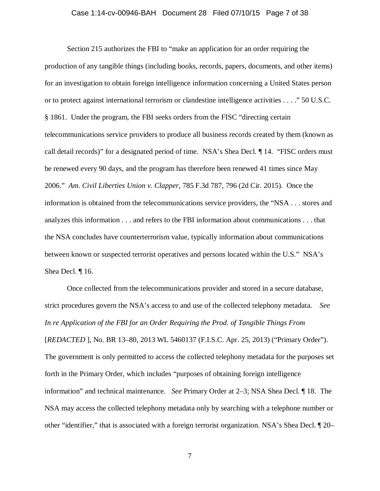## Case 1:14-cv-00946-BAH Document 28 Filed 07/10/15 Page 7 of 38

Section 215 authorizes the FBI to "make an application for an order requiring the production of any tangible things (including books, records, papers, documents, and other items) for an investigation to obtain foreign intelligence information concerning a United States person or to protect against international terrorism or clandestine intelligence activities . . . ." 50 U.S.C. § 1861. Under the program, the FBI seeks orders from the FISC "directing certain telecommunications service providers to produce all business records created by them (known as call detail records)" for a designated period of time. NSA's Shea Decl. ¶ 14. "FISC orders must be renewed every 90 days, and the program has therefore been renewed 41 times since May 2006." *Am. Civil Liberties Union v. Clapper*, 785 F.3d 787, 796 (2d Cir. 2015). Once the information is obtained from the telecommunications service providers, the "NSA . . . stores and analyzes this information . . . and refers to the FBI information about communications . . . that the NSA concludes have counterterrorism value, typically information about communications between known or suspected terrorist operatives and persons located within the U.S." NSA's Shea Decl. ¶ 16.

Once collected from the telecommunications provider and stored in a secure database, strict procedures govern the NSA's access to and use of the collected telephony metadata. *See In re Application of the FBI for an Order Requiring the Prod. of Tangible Things From* [*REDACTED* ], No. BR 13–80, 2013 WL 5460137 (F.I.S.C. Apr. 25, 2013) ("Primary Order"). The government is only permitted to access the collected telephony metadata for the purposes set forth in the Primary Order, which includes "purposes of obtaining foreign intelligence information" and technical maintenance. *See* Primary Order at 2–3; NSA Shea Decl. ¶ 18. The NSA may access the collected telephony metadata only by searching with a telephone number or other "identifier," that is associated with a foreign terrorist organization. NSA's Shea Decl. ¶ 20–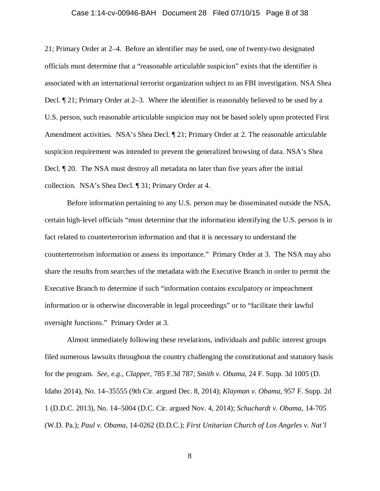### Case 1:14-cv-00946-BAH Document 28 Filed 07/10/15 Page 8 of 38

21; Primary Order at 2–4. Before an identifier may be used, one of twenty-two designated officials must determine that a "reasonable articulable suspicion" exists that the identifier is associated with an international terrorist organization subject to an FBI investigation. NSA Shea Decl. ¶ 21; Primary Order at 2–3. Where the identifier is reasonably believed to be used by a U.S. person, such reasonable articulable suspicion may not be based solely upon protected First Amendment activities. NSA's Shea Decl.  $\P$  21; Primary Order at 2. The reasonable articulable suspicion requirement was intended to prevent the generalized browsing of data. NSA's Shea Decl. ¶ 20. The NSA must destroy all metadata no later than five years after the initial collection. NSA's Shea Decl. ¶ 31; Primary Order at 4.

Before information pertaining to any U.S. person may be disseminated outside the NSA, certain high-level officials "must determine that the information identifying the U.S. person is in fact related to counterterrorism information and that it is necessary to understand the counterterrorism information or assess its importance." Primary Order at 3. The NSA may also share the results from searches of the metadata with the Executive Branch in order to permit the Executive Branch to determine if such "information contains exculpatory or impeachment information or is otherwise discoverable in legal proceedings" or to "facilitate their lawful oversight functions." Primary Order at 3.

Almost immediately following these revelations, individuals and public interest groups filed numerous lawsuits throughout the country challenging the constitutional and statutory basis for the program. *See, e.g.*, *Clapper*, 785 F.3d 787; *Smith v. Obama*, 24 F. Supp. 3d 1005 (D. Idaho 2014), No. 14–35555 (9th Cir. argued Dec. 8, 2014); *Klayman v. Obama*, 957 F. Supp. 2d 1 (D.D.C. 2013), No. 14–5004 (D.C. Cir. argued Nov. 4, 2014); *Schuchardt v. Obama*, 14-705 (W.D. Pa.); *Paul v. Obama*, 14-0262 (D.D.C.); *First Unitarian Church of Los Angeles v. Nat'l*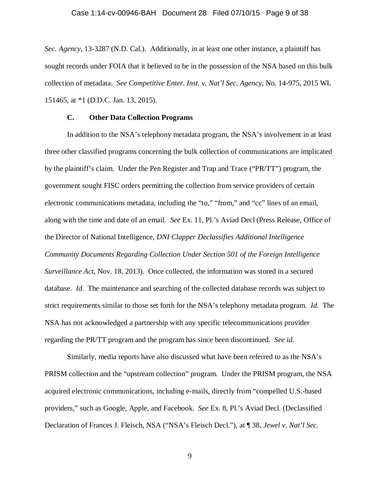## Case 1:14-cv-00946-BAH Document 28 Filed 07/10/15 Page 9 of 38

*Sec. Agency*, 13-3287 (N.D. Cal.). Additionally, in at least one other instance, a plaintiff has sought records under FOIA that it believed to be in the possession of the NSA based on this bulk collection of metadata. *See Competitive Enter. Inst. v. Nat'l Sec. Agency*, No. 14-975, 2015 WL 151465, at \*1 (D.D.C. Jan. 13, 2015).

# **C. Other Data Collection Programs**

In addition to the NSA's telephony metadata program, the NSA's involvement in at least three other classified programs concerning the bulk collection of communications are implicated by the plaintiff's claim. Under the Pen Register and Trap and Trace ("PR/TT") program, the government sought FISC orders permitting the collection from service providers of certain electronic communications metadata, including the "to," "from," and "cc" lines of an email, along with the time and date of an email. *See* Ex. 11, Pl.'s Aviad Decl (Press Release, Office of the Director of National Intelligence, *DNI Clapper Declassifies Additional Intelligence Community Documents Regarding Collection Under Section 501 of the Foreign Intelligence Surveillance Act*, Nov. 18, 2013). Once collected, the information was stored in a secured database. *Id.* The maintenance and searching of the collected database records was subject to strict requirements similar to those set forth for the NSA's telephony metadata program. *Id.* The NSA has not acknowledged a partnership with any specific telecommunications provider regarding the PR/TT program and the program has since been discontinued. *See id.*

Similarly, media reports have also discussed what have been referred to as the NSA's PRISM collection and the "upstream collection" program. Under the PRISM program, the NSA acquired electronic communications, including e-mails, directly from "compelled U.S.-based providers," such as Google, Apple, and Facebook. *See* Ex. 8, Pl.'s Aviad Decl. (Declassified Declaration of Frances J. Fleisch, NSA ("NSA's Fleisch Decl."), at ¶ 38, *Jewel v. Nat'l Sec.*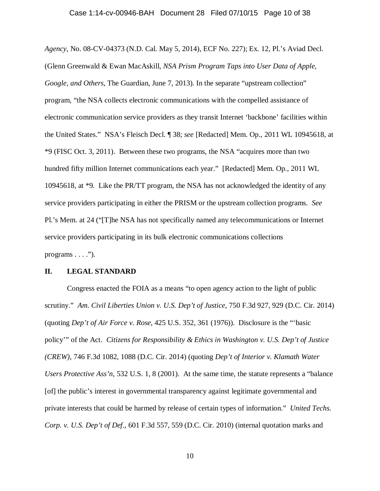## Case 1:14-cv-00946-BAH Document 28 Filed 07/10/15 Page 10 of 38

*Agency*, No. 08-CV-04373 (N.D. Cal. May 5, 2014), ECF No. 227); Ex. 12, Pl.'s Aviad Decl. (Glenn Greenwald & Ewan MacAskill, *NSA Prism Program Taps into User Data of Apple, Google, and Others*, The Guardian, June 7, 2013). In the separate "upstream collection" program, "the NSA collects electronic communications with the compelled assistance of electronic communication service providers as they transit Internet 'backbone' facilities within the United States." NSA's Fleisch Decl. ¶ 38; *see* [Redacted] Mem. Op., 2011 WL 10945618, at \*9 (FISC Oct. 3, 2011). Between these two programs, the NSA "acquires more than two hundred fifty million Internet communications each year." [Redacted] Mem. Op., 2011 WL 10945618, at \*9*.* Like the PR/TT program, the NSA has not acknowledged the identity of any service providers participating in either the PRISM or the upstream collection programs. *See* Pl.'s Mem. at 24 ("[T]he NSA has not specifically named any telecommunications or Internet service providers participating in its bulk electronic communications collections programs  $\dots$ .").

## **II. LEGAL STANDARD**

Congress enacted the FOIA as a means "to open agency action to the light of public scrutiny." *Am. Civil Liberties Union v. U.S. Dep't of Justice*, 750 F.3d 927, 929 (D.C. Cir. 2014) (quoting *Dep't of Air Force v. Rose*, 425 U.S. 352, 361 (1976)). Disclosure is the "'basic policy'" of the Act. *Citizens for Responsibility & Ethics in Washington v. U.S. Dep't of Justice (CREW)*, 746 F.3d 1082, 1088 (D.C. Cir. 2014) (quoting *Dep't of Interior v. Klamath Water Users Protective Ass'n*, 532 U.S. 1, 8 (2001). At the same time, the statute represents a "balance [of] the public's interest in governmental transparency against legitimate governmental and private interests that could be harmed by release of certain types of information." *United Techs. Corp. v. U.S. Dep't of Def.*, 601 F.3d 557, 559 (D.C. Cir. 2010) (internal quotation marks and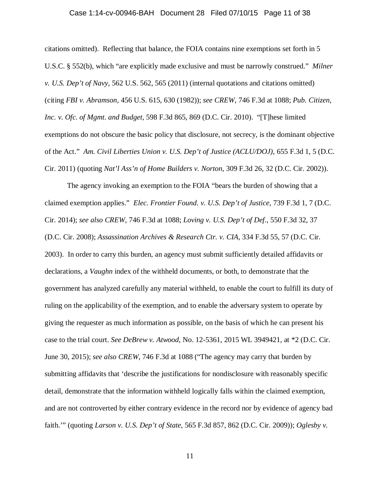## Case 1:14-cv-00946-BAH Document 28 Filed 07/10/15 Page 11 of 38

citations omitted). Reflecting that balance, the FOIA contains nine exemptions set forth in 5 U.S.C. § 552(b), which "are explicitly made exclusive and must be narrowly construed." *Milner v. U.S. Dep't of Navy*, 562 U.S. 562, 565 (2011) (internal quotations and citations omitted) (citing *FBI v. Abramson*, 456 U.S. 615, 630 (1982)); *see CREW*, 746 F.3d at 1088; *Pub. Citizen, Inc. v. Ofc. of Mgmt. and Budget*, 598 F.3d 865, 869 (D.C. Cir. 2010). "[T]hese limited exemptions do not obscure the basic policy that disclosure, not secrecy, is the dominant objective of the Act." *Am. Civil Liberties Union v. U.S. Dep't of Justice (ACLU/DOJ)*, 655 F.3d 1, 5 (D.C. Cir. 2011) (quoting *Nat'l Ass'n of Home Builders v. Norton*, 309 F.3d 26, 32 (D.C. Cir. 2002)).

The agency invoking an exemption to the FOIA "bears the burden of showing that a claimed exemption applies." *Elec. Frontier Found. v. U.S. Dep't of Justice*, 739 F.3d 1, 7 (D.C. Cir. 2014); *see also CREW*, 746 F.3d at 1088; *Loving v. U.S. Dep't of Def.*, 550 F.3d 32, 37 (D.C. Cir. 2008); *Assassination Archives & Research Ctr. v. CIA*, 334 F.3d 55, 57 (D.C. Cir. 2003). In order to carry this burden, an agency must submit sufficiently detailed affidavits or declarations, a *Vaughn* index of the withheld documents, or both, to demonstrate that the government has analyzed carefully any material withheld, to enable the court to fulfill its duty of ruling on the applicability of the exemption, and to enable the adversary system to operate by giving the requester as much information as possible, on the basis of which he can present his case to the trial court. *See DeBrew v. Atwood*, No. 12-5361, 2015 WL 3949421, at \*2 (D.C. Cir. June 30, 2015); *see also CREW*, 746 F.3d at 1088 ("The agency may carry that burden by submitting affidavits that 'describe the justifications for nondisclosure with reasonably specific detail, demonstrate that the information withheld logically falls within the claimed exemption, and are not controverted by either contrary evidence in the record nor by evidence of agency bad faith.'" (quoting *Larson v. U.S. Dep't of State*, 565 F.3d 857, 862 (D.C. Cir. 2009)); *Oglesby v.*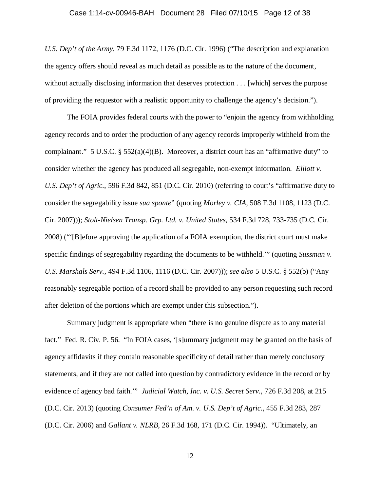### Case 1:14-cv-00946-BAH Document 28 Filed 07/10/15 Page 12 of 38

*U.S. Dep't of the Army*, 79 F.3d 1172, 1176 (D.C. Cir. 1996) ("The description and explanation the agency offers should reveal as much detail as possible as to the nature of the document, without actually disclosing information that deserves protection . . . [which] serves the purpose of providing the requestor with a realistic opportunity to challenge the agency's decision.").

The FOIA provides federal courts with the power to "enjoin the agency from withholding agency records and to order the production of any agency records improperly withheld from the complainant." 5 U.S.C. § 552(a)(4)(B). Moreover, a district court has an "affirmative duty" to consider whether the agency has produced all segregable, non-exempt information. *Elliott v. U.S. Dep't of Agric.*, 596 F.3d 842, 851 (D.C. Cir. 2010) (referring to court's "affirmative duty to consider the segregability issue *sua sponte*" (quoting *Morley v. CIA*, 508 F.3d 1108, 1123 (D.C. Cir. 2007))); *Stolt-Nielsen Transp. Grp. Ltd. v. United States*, 534 F.3d 728, 733-735 (D.C. Cir. 2008) ("'[B]efore approving the application of a FOIA exemption, the district court must make specific findings of segregability regarding the documents to be withheld.'" (quoting *Sussman v. U.S. Marshals Serv.*, 494 F.3d 1106, 1116 (D.C. Cir. 2007))); *see also* 5 U.S.C. § 552(b) ("Any reasonably segregable portion of a record shall be provided to any person requesting such record after deletion of the portions which are exempt under this subsection.").

Summary judgment is appropriate when "there is no genuine dispute as to any material fact." Fed. R. Civ. P. 56. "In FOIA cases, '[s]ummary judgment may be granted on the basis of agency affidavits if they contain reasonable specificity of detail rather than merely conclusory statements, and if they are not called into question by contradictory evidence in the record or by evidence of agency bad faith.'" *Judicial Watch, Inc. v. U.S. Secret Serv*., 726 F.3d 208, at 215 (D.C. Cir. 2013) (quoting *Consumer Fed'n of Am. v. U.S. Dep't of Agric*., 455 F.3d 283, 287 (D.C. Cir. 2006) and *Gallant v. NLRB*, 26 F.3d 168, 171 (D.C. Cir. 1994)). "Ultimately, an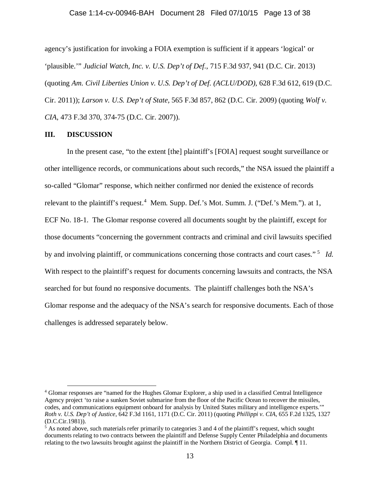### Case 1:14-cv-00946-BAH Document 28 Filed 07/10/15 Page 13 of 38

agency's justification for invoking a FOIA exemption is sufficient if it appears 'logical' or 'plausible.'" *Judicial Watch, Inc. v. U.S. Dep't of Def.*, 715 F.3d 937, 941 (D.C. Cir. 2013) (quoting *Am. Civil Liberties Union v. U.S. Dep't of Def. (ACLU/DOD)*, 628 F.3d 612, 619 (D.C. Cir. 2011)); *Larson v. U.S. Dep't of State,* 565 F.3d 857, 862 (D.C. Cir. 2009) (quoting *Wolf v. CIA*, 473 F.3d 370, 374-75 (D.C. Cir. 2007)).

## **III. DISCUSSION**

In the present case, "to the extent [the] plaintiff's [FOIA] request sought surveillance or other intelligence records, or communications about such records," the NSA issued the plaintiff a so-called "Glomar" response, which neither confirmed nor denied the existence of records relevant to the plaintiff's request.<sup>[4](#page-12-0)</sup> Mem. Supp. Def.'s Mot. Summ. J. ("Def.'s Mem."). at 1, ECF No. 18-1. The Glomar response covered all documents sought by the plaintiff, except for those documents "concerning the government contracts and criminal and civil lawsuits specified by and involving plaintiff, or communications concerning those contracts and court cases."<sup>[5](#page-12-1)</sup> *Id.* With respect to the plaintiff's request for documents concerning lawsuits and contracts, the NSA searched for but found no responsive documents. The plaintiff challenges both the NSA's Glomar response and the adequacy of the NSA's search for responsive documents. Each of those challenges is addressed separately below.

<span id="page-12-0"></span> <sup>4</sup> Glomar responses are "named for the Hughes Glomar Explorer, a ship used in a classified Central Intelligence Agency project 'to raise a sunken Soviet submarine from the floor of the Pacific Ocean to recover the missiles, codes, and communications equipment onboard for analysis by United States military and intelligence experts.'" *Roth v. U.S. Dep't of Justice*, 642 F.3d 1161, 1171 (D.C. Cir. 2011) (quoting *Phillippi v. CIA*, 655 F.2d 1325, 1327 (D.C.Cir.1981)).

<span id="page-12-1"></span> $<sup>5</sup>$  As noted above, such materials refer primarily to categories 3 and 4 of the plaintiff's request, which sought</sup> documents relating to two contracts between the plaintiff and Defense Supply Center Philadelphia and documents relating to the two lawsuits brought against the plaintiff in the Northern District of Georgia. Compl. ¶ 11.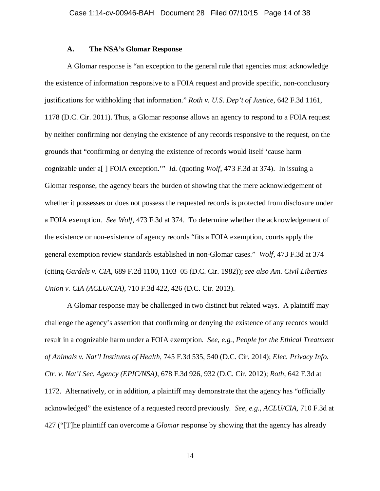## **A. The NSA's Glomar Response**

A Glomar response is "an exception to the general rule that agencies must acknowledge the existence of information responsive to a FOIA request and provide specific, non-conclusory justifications for withholding that information." *Roth v. U.S. Dep't of Justice*, 642 F.3d 1161, 1178 (D.C. Cir. 2011). Thus, a Glomar response allows an agency to respond to a FOIA request by neither confirming nor denying the existence of any records responsive to the request, on the grounds that "confirming or denying the existence of records would itself 'cause harm cognizable under a[ ] FOIA exception.'" *Id.* (quoting *Wolf*, 473 F.3d at 374). In issuing a Glomar response, the agency bears the burden of showing that the mere acknowledgement of whether it possesses or does not possess the requested records is protected from disclosure under a FOIA exemption. *See Wolf*, 473 F.3d at 374. To determine whether the acknowledgement of the existence or non-existence of agency records "fits a FOIA exemption, courts apply the general exemption review standards established in non-Glomar cases." *Wolf*, 473 F.3d at 374 (citing *Gardels v. CIA*, 689 F.2d 1100, 1103–05 (D.C. Cir. 1982)); *see also Am. Civil Liberties Union v. CIA (ACLU/CIA)*, 710 F.3d 422, 426 (D.C. Cir. 2013).

A Glomar response may be challenged in two distinct but related ways. A plaintiff may challenge the agency's assertion that confirming or denying the existence of any records would result in a cognizable harm under a FOIA exemption. *See, e.g., People for the Ethical Treatment of Animals v. Nat'l Institutes of Health*, 745 F.3d 535, 540 (D.C. Cir. 2014); *Elec. Privacy Info. Ctr. v. Nat'l Sec. Agency (EPIC/NSA)*, 678 F.3d 926, 932 (D.C. Cir. 2012); *Roth*, 642 F.3d at 1172. Alternatively, or in addition, a plaintiff may demonstrate that the agency has "officially acknowledged" the existence of a requested record previously. *See, e.g.*, *ACLU/CIA*, 710 F.3d at 427 ("[T]he plaintiff can overcome a *Glomar* response by showing that the agency has already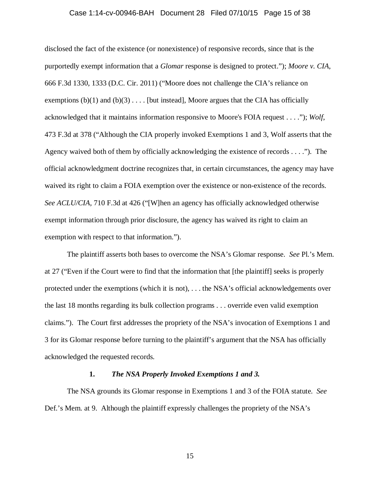## Case 1:14-cv-00946-BAH Document 28 Filed 07/10/15 Page 15 of 38

disclosed the fact of the existence (or nonexistence) of responsive records, since that is the purportedly exempt information that a *Glomar* response is designed to protect."); *Moore v. CIA*, 666 F.3d 1330, 1333 (D.C. Cir. 2011) ("Moore does not challenge the CIA's reliance on exemptions  $(b)(1)$  and  $(b)(3)$ .... [but instead], Moore argues that the CIA has officially acknowledged that it maintains information responsive to Moore's FOIA request . . . ."); *Wolf*, 473 F.3d at 378 ("Although the CIA properly invoked Exemptions 1 and 3, Wolf asserts that the Agency waived both of them by officially acknowledging the existence of records . . . ."). The official acknowledgment doctrine recognizes that, in certain circumstances, the agency may have waived its right to claim a FOIA exemption over the existence or non-existence of the records. *See ACLU/CIA,* 710 F.3d at 426 ("[W]hen an agency has officially acknowledged otherwise exempt information through prior disclosure, the agency has waived its right to claim an exemption with respect to that information.").

The plaintiff asserts both bases to overcome the NSA's Glomar response. *See* Pl.'s Mem. at 27 ("Even if the Court were to find that the information that [the plaintiff] seeks is properly protected under the exemptions (which it is not), . . . the NSA's official acknowledgements over the last 18 months regarding its bulk collection programs . . . override even valid exemption claims."). The Court first addresses the propriety of the NSA's invocation of Exemptions 1 and 3 for its Glomar response before turning to the plaintiff's argument that the NSA has officially acknowledged the requested records.

## **1.** *The NSA Properly Invoked Exemptions 1 and 3.*

The NSA grounds its Glomar response in Exemptions 1 and 3 of the FOIA statute. *See* Def.'s Mem. at 9. Although the plaintiff expressly challenges the propriety of the NSA's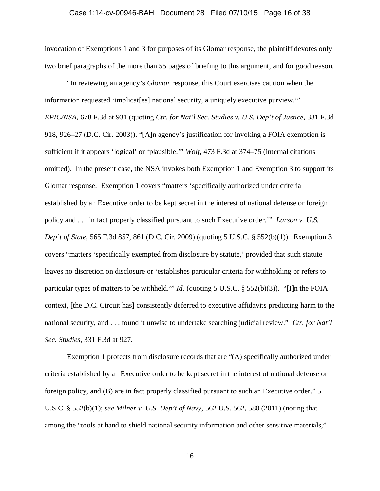## Case 1:14-cv-00946-BAH Document 28 Filed 07/10/15 Page 16 of 38

invocation of Exemptions 1 and 3 for purposes of its Glomar response, the plaintiff devotes only two brief paragraphs of the more than 55 pages of briefing to this argument, and for good reason.

"In reviewing an agency's *Glomar* response, this Court exercises caution when the information requested 'implicat[es] national security, a uniquely executive purview.'" *EPIC/NSA*, 678 F.3d at 931 (quoting *Ctr. for Nat'l Sec. Studies v. U.S. Dep't of Justice,* 331 F.3d 918, 926–27 (D.C. Cir. 2003)). "[A]n agency's justification for invoking a FOIA exemption is sufficient if it appears 'logical' or 'plausible.'" *Wolf*, 473 F.3d at 374–75 (internal citations omitted). In the present case, the NSA invokes both Exemption 1 and Exemption 3 to support its Glomar response. Exemption 1 covers "matters 'specifically authorized under criteria established by an Executive order to be kept secret in the interest of national defense or foreign policy and . . . in fact properly classified pursuant to such Executive order.'" *Larson v. U.S. Dep't of State*, 565 F.3d 857, 861 (D.C. Cir. 2009) (quoting 5 U.S.C. § 552(b)(1)). Exemption 3 covers "matters 'specifically exempted from disclosure by statute,' provided that such statute leaves no discretion on disclosure or 'establishes particular criteria for withholding or refers to particular types of matters to be withheld.'" *Id.* (quoting 5 U.S.C. § 552(b)(3)). "[I]n the FOIA context, [the D.C. Circuit has] consistently deferred to executive affidavits predicting harm to the national security, and . . . found it unwise to undertake searching judicial review." *Ctr. for Nat'l Sec. Studies,* 331 F.3d at 927.

Exemption 1 protects from disclosure records that are "(A) specifically authorized under criteria established by an Executive order to be kept secret in the interest of national defense or foreign policy, and (B) are in fact properly classified pursuant to such an Executive order." 5 U.S.C. § 552(b)(1); *see Milner v. U.S. Dep't of Navy*, 562 U.S. 562, 580 (2011) (noting that among the "tools at hand to shield national security information and other sensitive materials,"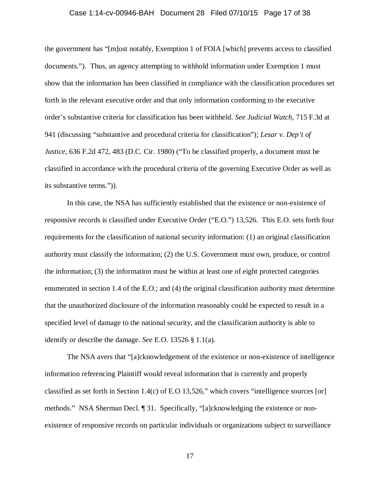## Case 1:14-cv-00946-BAH Document 28 Filed 07/10/15 Page 17 of 38

the government has "[m]ost notably, Exemption 1 of FOIA [which] prevents access to classified documents."). Thus, an agency attempting to withhold information under Exemption 1 must show that the information has been classified in compliance with the classification procedures set forth in the relevant executive order and that only information conforming to the executive order's substantive criteria for classification has been withheld. *See Judicial Watch*, 715 F.3d at 941 (discussing "substantive and procedural criteria for classification"); *Lesar v. Dep't of Justice*, 636 F.2d 472, 483 (D.C. Cir. 1980) ("To be classified properly, a document must be classified in accordance with the procedural criteria of the governing Executive Order as well as its substantive terms.")).

In this case, the NSA has sufficiently established that the existence or non-existence of responsive records is classified under Executive Order ("E.O.") 13,526. This E.O. sets forth four requirements for the classification of national security information: (1) an original classification authority must classify the information; (2) the U.S. Government must own, produce, or control the information; (3) the information must be within at least one of eight protected categories enumerated in section 1.4 of the E.O.; and (4) the original classification authority must determine that the unauthorized disclosure of the information reasonably could be expected to result in a specified level of damage to the national security, and the classification authority is able to identify or describe the damage. *See* E.O. 13526 § 1.1(a).

The NSA avers that "[a]cknowledgement of the existence or non-existence of intelligence information referencing Plaintiff would reveal information that is currently and properly classified as set forth in Section 1.4(c) of E.O 13,526," which covers "intelligence sources [or] methods." NSA Sherman Decl. ¶ 31. Specifically, "[a]cknowledging the existence or nonexistence of responsive records on particular individuals or organizations subject to surveillance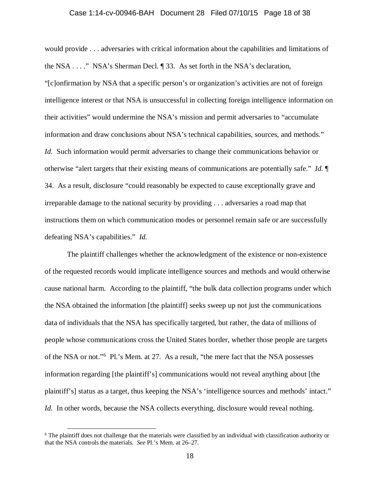## Case 1:14-cv-00946-BAH Document 28 Filed 07/10/15 Page 18 of 38

would provide . . . adversaries with critical information about the capabilities and limitations of the NSA . . . ." NSA's Sherman Decl. ¶ 33. As set forth in the NSA's declaration, "[c]onfirmation by NSA that a specific person's or organization's activities are not of foreign intelligence interest or that NSA is unsuccessful in collecting foreign intelligence information on their activities" would undermine the NSA's mission and permit adversaries to "accumulate information and draw conclusions about NSA's technical capabilities, sources, and methods." *Id.* Such information would permit adversaries to change their communications behavior or otherwise "alert targets that their existing means of communications are potentially safe." *Id.* ¶ 34. As a result, disclosure "could reasonably be expected to cause exceptionally grave and irreparable damage to the national security by providing . . . adversaries a road map that instructions them on which communication modes or personnel remain safe or are successfully defeating NSA's capabilities." *Id.*

The plaintiff challenges whether the acknowledgment of the existence or non-existence of the requested records would implicate intelligence sources and methods and would otherwise cause national harm. According to the plaintiff, "the bulk data collection programs under which the NSA obtained the information [the plaintiff] seeks sweep up not just the communications data of individuals that the NSA has specifically targeted, but rather, the data of millions of people whose communications cross the United States border, whether those people are targets of the NSA or not."<sup>[6](#page-17-0)</sup> Pl.'s Mem. at 27. As a result, "the mere fact that the NSA possesses information regarding [the plaintiff's] communications would not reveal anything about [the plaintiff's] status as a target, thus keeping the NSA's 'intelligence sources and methods' intact." *Id.* In other words, because the NSA collects everything, disclosure would reveal nothing.

<span id="page-17-0"></span> <sup>6</sup> The plaintiff does not challenge that the materials were classified by an individual with classification authority or that the NSA controls the materials. *See* Pl.'s Mem. at 26–27.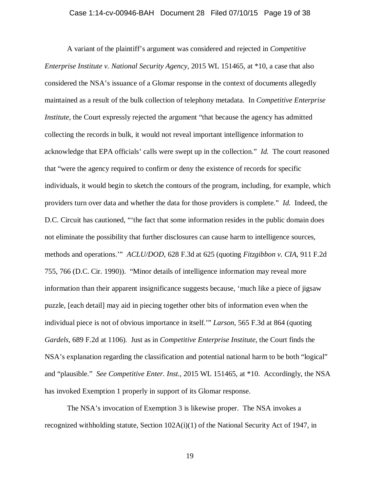## Case 1:14-cv-00946-BAH Document 28 Filed 07/10/15 Page 19 of 38

A variant of the plaintiff's argument was considered and rejected in *Competitive Enterprise Institute v. National Security Agency*, 2015 WL 151465, at \*10, a case that also considered the NSA's issuance of a Glomar response in the context of documents allegedly maintained as a result of the bulk collection of telephony metadata. In *Competitive Enterprise Institute*, the Court expressly rejected the argument "that because the agency has admitted collecting the records in bulk, it would not reveal important intelligence information to acknowledge that EPA officials' calls were swept up in the collection." *Id.* The court reasoned that "were the agency required to confirm or deny the existence of records for specific individuals, it would begin to sketch the contours of the program, including, for example, which providers turn over data and whether the data for those providers is complete." *Id.* Indeed, the D.C. Circuit has cautioned, "'the fact that some information resides in the public domain does not eliminate the possibility that further disclosures can cause harm to intelligence sources, methods and operations.'" *ACLU/DOD*, 628 F.3d at 625 (quoting *Fitzgibbon v. CIA*, 911 F.2d 755, 766 (D.C. Cir. 1990)). "Minor details of intelligence information may reveal more information than their apparent insignificance suggests because, 'much like a piece of jigsaw puzzle, [each detail] may aid in piecing together other bits of information even when the individual piece is not of obvious importance in itself.'" *Larson*, 565 F.3d at 864 (quoting *Gardels*, 689 F.2d at 1106). Just as in *Competitive Enterprise Institute*, the Court finds the NSA's explanation regarding the classification and potential national harm to be both "logical" and "plausible." *See Competitive Enter. Inst.*, 2015 WL 151465, at \*10. Accordingly, the NSA has invoked Exemption 1 properly in support of its Glomar response.

The NSA's invocation of Exemption 3 is likewise proper. The NSA invokes a recognized withholding statute, Section 102A(i)(1) of the National Security Act of 1947, in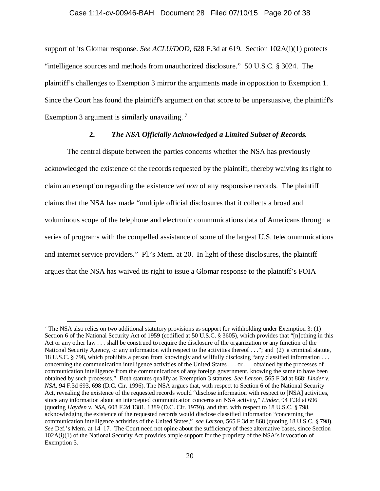## Case 1:14-cv-00946-BAH Document 28 Filed 07/10/15 Page 20 of 38

support of its Glomar response. *See ACLU/DOD*, 628 F.3d at 619. Section 102A(i)(1) protects "intelligence sources and methods from unauthorized disclosure." 50 U.S.C. § 3024. The plaintiff's challenges to Exemption 3 mirror the arguments made in opposition to Exemption 1. Since the Court has found the plaintiff's argument on that score to be unpersuasive, the plaintiff's Exemption 3 argument is similarly unavailing.<sup>[7](#page-19-0)</sup>

## **2.** *The NSA Officially Acknowledged a Limited Subset of Records.*

The central dispute between the parties concerns whether the NSA has previously acknowledged the existence of the records requested by the plaintiff, thereby waiving its right to claim an exemption regarding the existence *vel non* of any responsive records. The plaintiff claims that the NSA has made "multiple official disclosures that it collects a broad and voluminous scope of the telephone and electronic communications data of Americans through a series of programs with the compelled assistance of some of the largest U.S. telecommunications and internet service providers." Pl.'s Mem. at 20. In light of these disclosures, the plaintiff argues that the NSA has waived its right to issue a Glomar response to the plaintiff's FOIA

<span id="page-19-0"></span><sup>&</sup>lt;sup>7</sup> The NSA also relies on two additional statutory provisions as support for withholding under Exemption 3: (1) Section 6 of the National Security Act of 1959 (codified at 50 U.S.C. § 3605), which provides that "[n]othing in this Act or any other law . . . shall be construed to require the disclosure of the organization or any function of the National Security Agency, or any information with respect to the activities thereof . . ."; and (2) a criminal statute, 18 U.S.C. § 798, which prohibits a person from knowingly and willfully disclosing "any classified information . . . concerning the communication intelligence activities of the United States . . . or . . . obtained by the processes of communication intelligence from the communications of any foreign government, knowing the same to have been obtained by such processes." Both statutes qualify as Exemption 3 statutes. *See Larson*, 565 F.3d at 868; *Linder v. NSA*, 94 F.3d 693, 698 (D.C. Cir. 1996). The NSA argues that, with respect to Section 6 of the National Security Act, revealing the existence of the requested records would "disclose information with respect to [NSA] activities, since any information about an intercepted communication concerns an NSA activity," *Linder*, 94 F.3d at 696 (quoting *Hayden v. NSA*, 608 F.2d 1381, 1389 (D.C. Cir. 1979)), and that, with respect to 18 U.S.C. § 798, acknowledging the existence of the requested records would disclose classified information "concerning the communication intelligence activities of the United States," *see Larson*, 565 F.3d at 868 (quoting 18 U.S.C. § 798). *See* Def.'s Mem. at 14–17. The Court need not opine about the sufficiency of these alternative bases, since Section 102A(i)(1) of the National Security Act provides ample support for the propriety of the NSA's invocation of Exemption 3.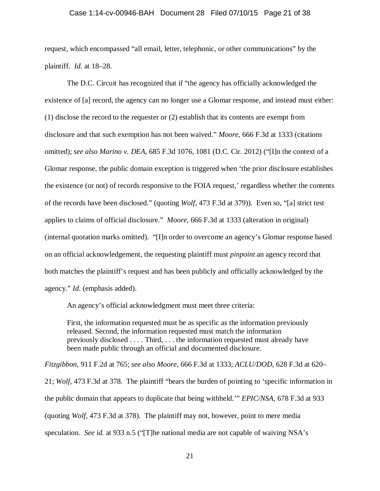### Case 1:14-cv-00946-BAH Document 28 Filed 07/10/15 Page 21 of 38

request, which encompassed "all email, letter, telephonic, or other communications" by the plaintiff. *Id.* at 18–28.

The D.C. Circuit has recognized that if "the agency has officially acknowledged the existence of [a] record, the agency can no longer use a Glomar response, and instead must either: (1) disclose the record to the requester or (2) establish that its contents are exempt from disclosure and that such exemption has not been waived." *Moore*, 666 F.3d at 1333 (citations omitted); *see also Marino v. DEA*, 685 F.3d 1076, 1081 (D.C. Cir. 2012) ("[I]n the context of a Glomar response, the public domain exception is triggered when 'the prior disclosure establishes the existence (or not) of records responsive to the FOIA request,' regardless whether the contents of the records have been disclosed." (quoting *Wolf*, 473 F.3d at 379)). Even so, "[a] strict test applies to claims of official disclosure." *Moore*, 666 F.3d at 1333 (alteration in original) (internal quotation marks omitted). "[I]n order to overcome an agency's Glomar response based on an official acknowledgement, the requesting plaintiff must *pinpoint* an agency record that both matches the plaintiff's request and has been publicly and officially acknowledged by the agency." *Id.* (emphasis added).

An agency's official acknowledgment must meet three criteria:

First, the information requested must be as specific as the information previously released. Second, the information requested must match the information previously disclosed . . . . Third, . . . the information requested must already have been made public through an official and documented disclosure.

*Fitzgibbon,* 911 F.2d at 765; *see also Moore*, 666 F.3d at 1333; *ACLU/DOD*, 628 F.3d at 620– 21; *Wolf*, 473 F.3d at 378. The plaintiff "bears the burden of pointing to 'specific information in the public domain that appears to duplicate that being withheld.'" *EPIC/NSA*, 678 F.3d at 933 (quoting *Wolf,* 473 F.3d at 378). The plaintiff may not, however, point to mere media speculation. *See id.* at 933 n.5 ("[T]he national media are not capable of waiving NSA's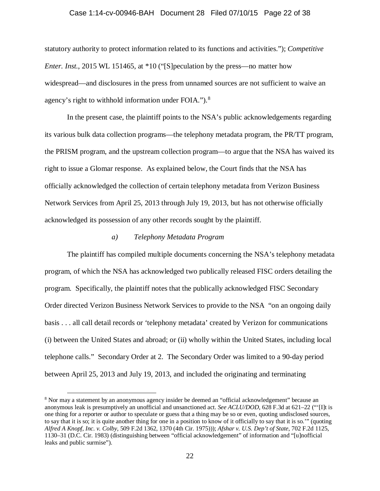### Case 1:14-cv-00946-BAH Document 28 Filed 07/10/15 Page 22 of 38

statutory authority to protect information related to its functions and activities."); *Competitive Enter. Inst.*, 2015 WL 151465, at \*10 ("[S] peculation by the press—no matter how widespread—and disclosures in the press from unnamed sources are not sufficient to waive an agency's right to withhold information under FOIA."). $8$ 

In the present case, the plaintiff points to the NSA's public acknowledgements regarding its various bulk data collection programs—the telephony metadata program, the PR/TT program, the PRISM program, and the upstream collection program—to argue that the NSA has waived its right to issue a Glomar response. As explained below, the Court finds that the NSA has officially acknowledged the collection of certain telephony metadata from Verizon Business Network Services from April 25, 2013 through July 19, 2013, but has not otherwise officially acknowledged its possession of any other records sought by the plaintiff.

## *a) Telephony Metadata Program*

The plaintiff has compiled multiple documents concerning the NSA's telephony metadata program, of which the NSA has acknowledged two publically released FISC orders detailing the program. Specifically, the plaintiff notes that the publically acknowledged FISC Secondary Order directed Verizon Business Network Services to provide to the NSA "on an ongoing daily basis . . . all call detail records or 'telephony metadata' created by Verizon for communications (i) between the United States and abroad; or (ii) wholly within the United States, including local telephone calls." Secondary Order at 2. The Secondary Order was limited to a 90-day period between April 25, 2013 and July 19, 2013, and included the originating and terminating

<span id="page-21-0"></span> <sup>8</sup> Nor may a statement by an anonymous agency insider be deemed an "official acknowledgement" because an anonymous leak is presumptively an unofficial and unsanctioned act. *See ACLU/DOD*, 628 F.3d at 621–22 ("'[I]t is one thing for a reporter or author to speculate or guess that a thing may be so or even, quoting undisclosed sources, to say that it is so; it is quite another thing for one in a position to know of it officially to say that it is so.'" (quoting *Alfred A Knopf, Inc. v. Colby*, 509 F.2d 1362, 1370 (4th Cir. 1975))); *Afshar v. U.S. Dep't of State*, 702 F.2d 1125, 1130–31 (D.C. Cir. 1983) (distinguishing between "official acknowledgement" of information and "[u]nofficial leaks and public surmise").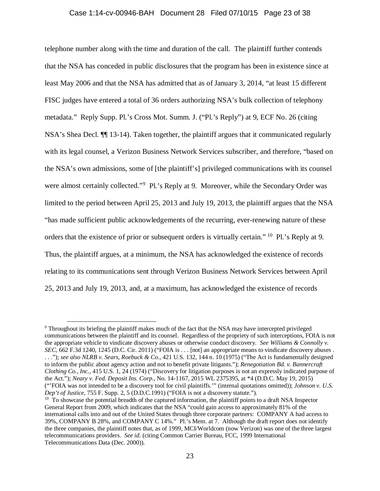## Case 1:14-cv-00946-BAH Document 28 Filed 07/10/15 Page 23 of 38

telephone number along with the time and duration of the call. The plaintiff further contends that the NSA has conceded in public disclosures that the program has been in existence since at least May 2006 and that the NSA has admitted that as of January 3, 2014, "at least 15 different FISC judges have entered a total of 36 orders authorizing NSA's bulk collection of telephony metadata." Reply Supp. Pl.'s Cross Mot. Summ. J. ("Pl.'s Reply") at 9, ECF No. 26 (citing NSA's Shea Decl. ¶¶ 13-14). Taken together, the plaintiff argues that it communicated regularly with its legal counsel, a Verizon Business Network Services subscriber, and therefore, "based on the NSA's own admissions, some of [the plaintiff's] privileged communications with its counsel were almost certainly collected."<sup>[9](#page-22-0)</sup> Pl.'s Reply at 9. Moreover, while the Secondary Order was limited to the period between April 25, 2013 and July 19, 2013, the plaintiff argues that the NSA "has made sufficient public acknowledgements of the recurring, ever-renewing nature of these orders that the existence of prior or subsequent orders is virtually certain." [10](#page-22-1) Pl.'s Reply at 9. Thus, the plaintiff argues, at a minimum, the NSA has acknowledged the existence of records relating to its communications sent through Verizon Business Network Services between April 25, 2013 and July 19, 2013, and, at a maximum, has acknowledged the existence of records

<span id="page-22-0"></span> <sup>9</sup> Throughout its briefing the plaintiff makes much of the fact that the NSA may have intercepted privileged communications between the plaintiff and its counsel. Regardless of the propriety of such interceptions, FOIA is not the appropriate vehicle to vindicate discovery abuses or otherwise conduct discovery. *See Williams & Connolly v. SEC*, 662 F.3d 1240, 1245 (D.C. Cir. 2011) ("FOIA is . . . [not] an appropriate means to vindicate discovery abuses . . . ."); *see also NLRB v. Sears, Roebuck & Co.*, 421 U.S. 132, 144 n. 10 (1975) ("The Act is fundamentally designed to inform the public about agency action and not to benefit private litigants."); *Renegotiation Bd. v. Bannercraft Clothing Co., Inc.*, 415 U.S. 1, 24 (1974) ("Discovery for litigation purposes is not an expressly indicated purpose of the Act."); *Neary v. Fed. Deposit Ins. Corp*., No. 14-1167, 2015 WL 2375395, at \*4 (D.D.C. May 19, 2015) ("'FOIA was not intended to be a discovery tool for civil plaintiffs.'" (internal quotations omitted)); *Johnson v. U.S.* 

<span id="page-22-1"></span><sup>&</sup>lt;sup>10</sup> To showcase the potential breadth of the captured information, the plaintiff points to a draft NSA Inspector General Report from 2009, which indicates that the NSA "could gain access to approximately 81% of the international calls into and out of the United States through three corporate partners: COMPANY A had access to 39%, COMPANY B 28%, and COMPANY C 14%." Pl.'s Mem. at 7. Although the draft report does not identify the three companies, the plaintiff notes that, as of 1999, MCI/Worldcom (now Verizon) was one of the three largest telecommunications providers. *See id.* (citing Common Carrier Bureau, FCC, 1999 International Telecommunications Data (Dec. 2000)).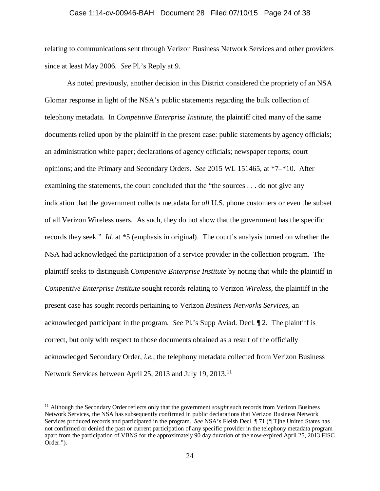### Case 1:14-cv-00946-BAH Document 28 Filed 07/10/15 Page 24 of 38

relating to communications sent through Verizon Business Network Services and other providers since at least May 2006. *See* Pl.'s Reply at 9.

As noted previously, another decision in this District considered the propriety of an NSA Glomar response in light of the NSA's public statements regarding the bulk collection of telephony metadata. In *Competitive Enterprise Institute*, the plaintiff cited many of the same documents relied upon by the plaintiff in the present case: public statements by agency officials; an administration white paper; declarations of agency officials; newspaper reports; court opinions; and the Primary and Secondary Orders. *See* 2015 WL 151465, at \*7–\*10. After examining the statements, the court concluded that the "the sources . . . do not give any indication that the government collects metadata for *all* U.S. phone customers or even the subset of all Verizon Wireless users. As such, they do not show that the government has the specific records they seek." *Id.* at \*5 (emphasis in original). The court's analysis turned on whether the NSA had acknowledged the participation of a service provider in the collection program. The plaintiff seeks to distinguish *Competitive Enterprise Institute* by noting that while the plaintiff in *Competitive Enterprise Institute* sought records relating to Verizon *Wireless*, the plaintiff in the present case has sought records pertaining to Verizon *Business Networks Services*, an acknowledged participant in the program. *See* Pl.'s Supp Aviad. Decl. ¶ 2. The plaintiff is correct, but only with respect to those documents obtained as a result of the officially acknowledged Secondary Order, *i.e.*, the telephony metadata collected from Verizon Business Network Services between April 25, 2013 and July 19, 2013.<sup>11</sup>

<span id="page-23-0"></span><sup>&</sup>lt;sup>11</sup> Although the Secondary Order reflects only that the government *sought* such records from Verizon Business Network Services, the NSA has subsequently confirmed in public declarations that Verizon Business Network Services produced records and participated in the program. *See* NSA's Fleish Decl. ¶ 71 ("[T]he United States has not confirmed or denied the past or current participation of any specific provider in the telephony metadata program apart from the participation of VBNS for the approximately 90 day duration of the now-expired April 25, 2013 FISC Order.").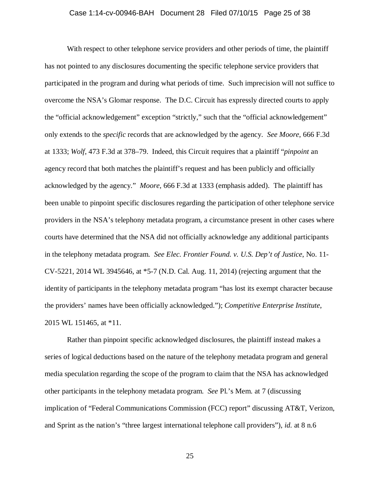## Case 1:14-cv-00946-BAH Document 28 Filed 07/10/15 Page 25 of 38

With respect to other telephone service providers and other periods of time, the plaintiff has not pointed to any disclosures documenting the specific telephone service providers that participated in the program and during what periods of time. Such imprecision will not suffice to overcome the NSA's Glomar response. The D.C. Circuit has expressly directed courts to apply the "official acknowledgement" exception "strictly," such that the "official acknowledgement" only extends to the *specific* records that are acknowledged by the agency. *See Moore*, 666 F.3d at 1333; *Wolf*, 473 F.3d at 378–79. Indeed, this Circuit requires that a plaintiff "*pinpoint* an agency record that both matches the plaintiff's request and has been publicly and officially acknowledged by the agency." *Moore*, 666 F.3d at 1333 (emphasis added). The plaintiff has been unable to pinpoint specific disclosures regarding the participation of other telephone service providers in the NSA's telephony metadata program, a circumstance present in other cases where courts have determined that the NSA did not officially acknowledge any additional participants in the telephony metadata program. *See Elec. Frontier Found. v. U.S. Dep't of Justice*, No. 11- CV-5221, 2014 WL 3945646, at \*5-7 (N.D. Cal. Aug. 11, 2014) (rejecting argument that the identity of participants in the telephony metadata program "has lost its exempt character because the providers' names have been officially acknowledged."); *Competitive Enterprise Institute*, 2015 WL 151465, at \*11.

Rather than pinpoint specific acknowledged disclosures, the plaintiff instead makes a series of logical deductions based on the nature of the telephony metadata program and general media speculation regarding the scope of the program to claim that the NSA has acknowledged other participants in the telephony metadata program. *See* Pl.'s Mem. at 7 (discussing implication of "Federal Communications Commission (FCC) report" discussing AT&T, Verizon, and Sprint as the nation's "three largest international telephone call providers"), *id.* at 8 n.6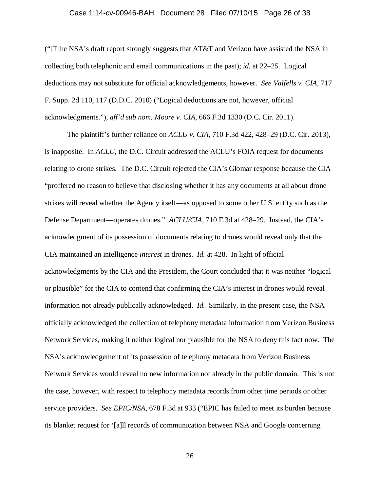## Case 1:14-cv-00946-BAH Document 28 Filed 07/10/15 Page 26 of 38

("The NSA's draft report strongly suggests that  $AT&T$  and Verizon have assisted the NSA in collecting both telephonic and email communications in the past); *id.* at 22–25. Logical deductions may not substitute for official acknowledgements, however. *See Valfells v. CIA*, 717 F. Supp. 2d 110, 117 (D.D.C. 2010) ("Logical deductions are not, however, official acknowledgments."), *aff'd sub nom. Moore v. CIA*, 666 F.3d 1330 (D.C. Cir. 2011).

The plaintiff's further reliance on *ACLU v. CIA*, 710 F.3d 422, 428–29 (D.C. Cir. 2013), is inapposite. In *ACLU*, the D.C. Circuit addressed the ACLU's FOIA request for documents relating to drone strikes. The D.C. Circuit rejected the CIA's Glomar response because the CIA "proffered no reason to believe that disclosing whether it has any documents at all about drone strikes will reveal whether the Agency itself—as opposed to some other U.S. entity such as the Defense Department—operates drones." *ACLU/CIA*, 710 F.3d at 428–29. Instead, the CIA's acknowledgment of its possession of documents relating to drones would reveal only that the CIA maintained an intelligence *interest* in drones. *Id.* at 428. In light of official acknowledgments by the CIA and the President, the Court concluded that it was neither "logical or plausible" for the CIA to contend that confirming the CIA's interest in drones would reveal information not already publically acknowledged. *Id.* Similarly, in the present case, the NSA officially acknowledged the collection of telephony metadata information from Verizon Business Network Services, making it neither logical nor plausible for the NSA to deny this fact now. The NSA's acknowledgement of its possession of telephony metadata from Verizon Business Network Services would reveal no new information not already in the public domain. This is not the case, however, with respect to telephony metadata records from other time periods or other service providers. *See EPIC/NSA*, 678 F.3d at 933 ("EPIC has failed to meet its burden because its blanket request for '[a]ll records of communication between NSA and Google concerning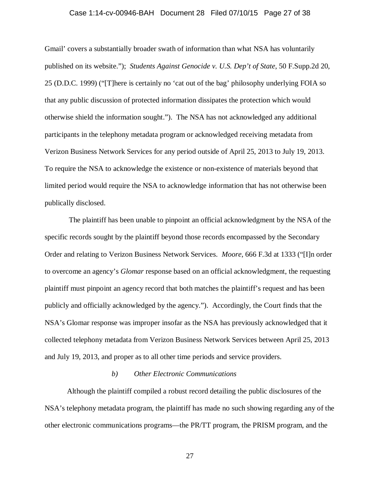### Case 1:14-cv-00946-BAH Document 28 Filed 07/10/15 Page 27 of 38

Gmail' covers a substantially broader swath of information than what NSA has voluntarily published on its website."); *Students Against Genocide v. U.S. Dep't of State*, 50 F.Supp.2d 20, 25 (D.D.C. 1999) ("[T]here is certainly no 'cat out of the bag' philosophy underlying FOIA so that any public discussion of protected information dissipates the protection which would otherwise shield the information sought."). The NSA has not acknowledged any additional participants in the telephony metadata program or acknowledged receiving metadata from Verizon Business Network Services for any period outside of April 25, 2013 to July 19, 2013. To require the NSA to acknowledge the existence or non-existence of materials beyond that limited period would require the NSA to acknowledge information that has not otherwise been publically disclosed.

The plaintiff has been unable to pinpoint an official acknowledgment by the NSA of the specific records sought by the plaintiff beyond those records encompassed by the Secondary Order and relating to Verizon Business Network Services. *Moore*, 666 F.3d at 1333 ("[I]n order to overcome an agency's *Glomar* response based on an official acknowledgment, the requesting plaintiff must pinpoint an agency record that both matches the plaintiff's request and has been publicly and officially acknowledged by the agency."). Accordingly, the Court finds that the NSA's Glomar response was improper insofar as the NSA has previously acknowledged that it collected telephony metadata from Verizon Business Network Services between April 25, 2013 and July 19, 2013, and proper as to all other time periods and service providers.

## *b) Other Electronic Communications*

Although the plaintiff compiled a robust record detailing the public disclosures of the NSA's telephony metadata program, the plaintiff has made no such showing regarding any of the other electronic communications programs—the PR/TT program, the PRISM program, and the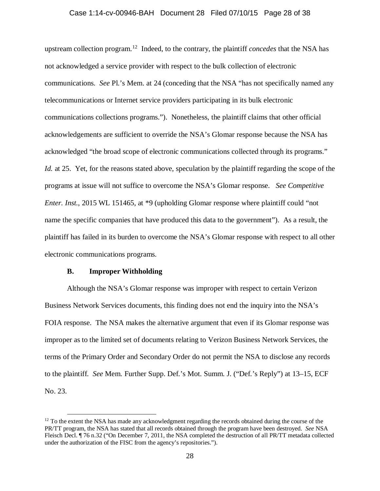### Case 1:14-cv-00946-BAH Document 28 Filed 07/10/15 Page 28 of 38

upstream collection program. [12](#page-27-0) Indeed, to the contrary, the plaintiff *concedes* that the NSA has not acknowledged a service provider with respect to the bulk collection of electronic communications. *See* Pl.'s Mem. at 24 (conceding that the NSA "has not specifically named any telecommunications or Internet service providers participating in its bulk electronic communications collections programs."). Nonetheless, the plaintiff claims that other official acknowledgements are sufficient to override the NSA's Glomar response because the NSA has acknowledged "the broad scope of electronic communications collected through its programs." *Id.* at 25. Yet, for the reasons stated above, speculation by the plaintiff regarding the scope of the programs at issue will not suffice to overcome the NSA's Glomar response. *See Competitive Enter. Inst.*, 2015 WL 151465, at \*9 (upholding Glomar response where plaintiff could "not name the specific companies that have produced this data to the government"). As a result, the plaintiff has failed in its burden to overcome the NSA's Glomar response with respect to all other electronic communications programs.

## **B. Improper Withholding**

Although the NSA's Glomar response was improper with respect to certain Verizon Business Network Services documents, this finding does not end the inquiry into the NSA's FOIA response. The NSA makes the alternative argument that even if its Glomar response was improper as to the limited set of documents relating to Verizon Business Network Services, the terms of the Primary Order and Secondary Order do not permit the NSA to disclose any records to the plaintiff. *See* Mem. Further Supp. Def.'s Mot. Summ. J. ("Def.'s Reply") at 13–15, ECF No. 23.

<span id="page-27-0"></span> $12$  To the extent the NSA has made any acknowledgment regarding the records obtained during the course of the PR/TT program, the NSA has stated that all records obtained through the program have been destroyed. *See* NSA Fleisch Decl. ¶ 76 n.32 ("On December 7, 2011, the NSA completed the destruction of all PR/TT metadata collected under the authorization of the FISC from the agency's repositories.").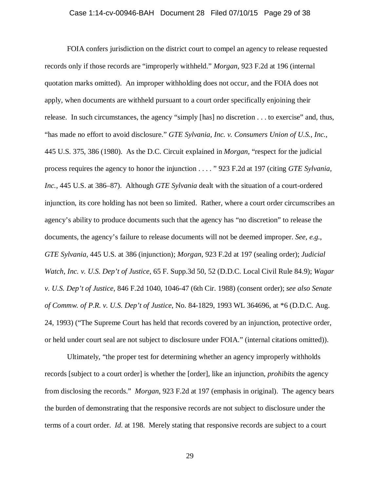## Case 1:14-cv-00946-BAH Document 28 Filed 07/10/15 Page 29 of 38

FOIA confers jurisdiction on the district court to compel an agency to release requested records only if those records are "improperly withheld." *Morgan*, 923 F.2d at 196 (internal quotation marks omitted). An improper withholding does not occur, and the FOIA does not apply, when documents are withheld pursuant to a court order specifically enjoining their release. In such circumstances, the agency "simply [has] no discretion . . . to exercise" and, thus, "has made no effort to avoid disclosure." *GTE Sylvania, Inc. v. Consumers Union of U.S., Inc.,* 445 U.S. 375, 386 (1980). As the D.C. Circuit explained in *Morgan*, "respect for the judicial process requires the agency to honor the injunction . . . . " 923 F.2d at 197 (citing *GTE Sylvania, Inc.*, 445 U.S. at 386–87). Although *GTE Sylvania* dealt with the situation of a court-ordered injunction, its core holding has not been so limited. Rather, where a court order circumscribes an agency's ability to produce documents such that the agency has "no discretion" to release the documents, the agency's failure to release documents will not be deemed improper. *See, e.g.*, *GTE Sylvania,* 445 U.S. at 386 (injunction); *Morgan*, 923 F.2d at 197 (sealing order); *Judicial Watch, Inc. v. U.S. Dep't of Justice*, 65 F. Supp.3d 50, 52 (D.D.C. Local Civil Rule 84.9); *Wagar v. U.S. Dep't of Justice*, 846 F.2d 1040, 1046-47 (6th Cir. 1988) (consent order); *see also Senate of Commw. of P.R. v. U.S. Dep't of Justice*, No. 84-1829, 1993 WL 364696, at \*6 (D.D.C. Aug. 24, 1993) ("The Supreme Court has held that records covered by an injunction, protective order, or held under court seal are not subject to disclosure under FOIA." (internal citations omitted)).

Ultimately, "the proper test for determining whether an agency improperly withholds records [subject to a court order] is whether the [order], like an injunction, *prohibits* the agency from disclosing the records." *Morgan*, 923 F.2d at 197 (emphasis in original). The agency bears the burden of demonstrating that the responsive records are not subject to disclosure under the terms of a court order. *Id.* at 198. Merely stating that responsive records are subject to a court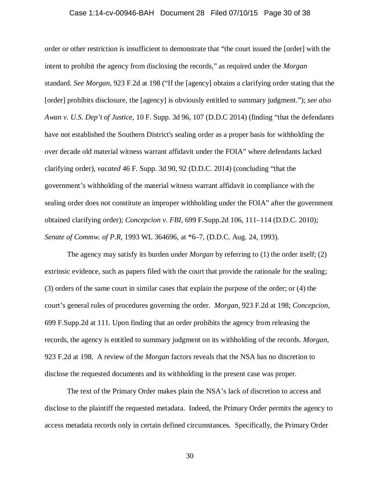## Case 1:14-cv-00946-BAH Document 28 Filed 07/10/15 Page 30 of 38

order or other restriction is insufficient to demonstrate that "the court issued the [order] with the intent to prohibit the agency from disclosing the records," as required under the *Morgan* standard. *See Morgan*, 923 F.2d at 198 ("If the [agency] obtains a clarifying order stating that the [order] prohibits disclosure, the [agency] is obviously entitled to summary judgment."); *see also Awan v. U.S. Dep't of Justice*, 10 F. Supp. 3d 96, 107 (D.D.C 2014) (finding "that the defendants have not established the Southern District's sealing order as a proper basis for withholding the over decade old material witness warrant affidavit under the FOIA" where defendants lacked clarifying order), *vacated* 46 F. Supp. 3d 90, 92 (D.D.C. 2014) (concluding "that the government's withholding of the material witness warrant affidavit in compliance with the sealing order does not constitute an improper withholding under the FOIA" after the government obtained clarifying order); *Concepcion v. FBI*, 699 F.Supp.2d 106, 111–114 (D.D.C. 2010); *Senate of Commw. of P.R*, 1993 WL 364696, at \*6–7, (D.D.C. Aug. 24, 1993).

The agency may satisfy its burden under *Morgan* by referring to (1) the order itself; (2) extrinsic evidence, such as papers filed with the court that provide the rationale for the sealing; (3) orders of the same court in similar cases that explain the purpose of the order; or (4) the court's general rules of procedures governing the order. *Morgan*, 923 F.2d at 198; *Concepcion*, 699 F.Supp.2d at 111. Upon finding that an order prohibits the agency from releasing the records, the agency is entitled to summary judgment on its withholding of the records. *Morgan*, 923 F.2d at 198. A review of the *Morgan* factors reveals that the NSA has no discretion to disclose the requested documents and its withholding in the present case was proper.

The text of the Primary Order makes plain the NSA's lack of discretion to access and disclose to the plaintiff the requested metadata. Indeed, the Primary Order permits the agency to access metadata records only in certain defined circumstances. Specifically, the Primary Order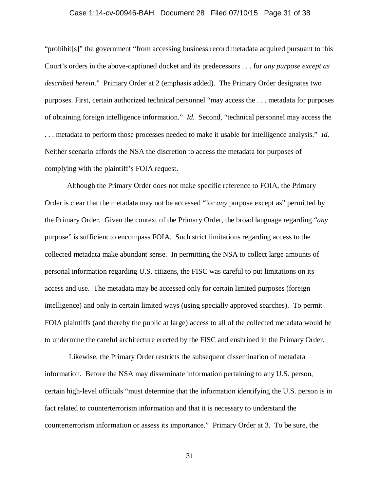## Case 1:14-cv-00946-BAH Document 28 Filed 07/10/15 Page 31 of 38

"prohibit[s]" the government "from accessing business record metadata acquired pursuant to this Court's orders in the above-captioned docket and its predecessors . . . for *any purpose except as described herein*." Primary Order at 2 (emphasis added). The Primary Order designates two purposes. First, certain authorized technical personnel "may access the . . . metadata for purposes of obtaining foreign intelligence information." *Id.* Second, "technical personnel may access the . . . metadata to perform those processes needed to make it usable for intelligence analysis." *Id.* Neither scenario affords the NSA the discretion to access the metadata for purposes of complying with the plaintiff's FOIA request.

Although the Primary Order does not make specific reference to FOIA, the Primary Order is clear that the metadata may not be accessed "for *any* purpose except as" permitted by the Primary Order. Given the context of the Primary Order, the broad language regarding "*any* purpose" is sufficient to encompass FOIA. Such strict limitations regarding access to the collected metadata make abundant sense. In permitting the NSA to collect large amounts of personal information regarding U.S. citizens, the FISC was careful to put limitations on its access and use. The metadata may be accessed only for certain limited purposes (foreign intelligence) and only in certain limited ways (using specially approved searches). To permit FOIA plaintiffs (and thereby the public at large) access to all of the collected metadata would be to undermine the careful architecture erected by the FISC and enshrined in the Primary Order.

Likewise, the Primary Order restricts the subsequent dissemination of metadata information. Before the NSA may disseminate information pertaining to any U.S. person, certain high-level officials "must determine that the information identifying the U.S. person is in fact related to counterterrorism information and that it is necessary to understand the counterterrorism information or assess its importance." Primary Order at 3. To be sure, the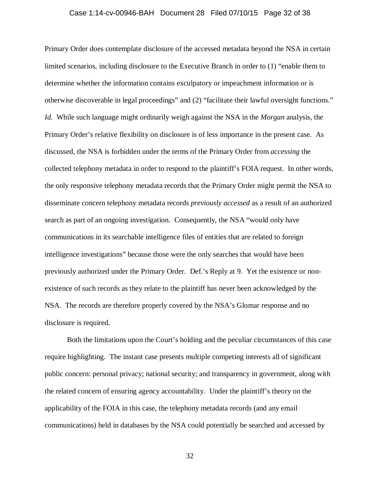## Case 1:14-cv-00946-BAH Document 28 Filed 07/10/15 Page 32 of 38

Primary Order does contemplate disclosure of the accessed metadata beyond the NSA in certain limited scenarios, including disclosure to the Executive Branch in order to (1) "enable them to determine whether the information contains exculpatory or impeachment information or is otherwise discoverable in legal proceedings" and (2) "facilitate their lawful oversight functions." *Id.* While such language might ordinarily weigh against the NSA in the *Morgan* analysis, the Primary Order's relative flexibility on disclosure is of less importance in the present case. As discussed, the NSA is forbidden under the terms of the Primary Order from *accessing* the collected telephony metadata in order to respond to the plaintiff's FOIA request. In other words, the only responsive telephony metadata records that the Primary Order might permit the NSA to disseminate concern telephony metadata records *previously accessed* as a result of an authorized search as part of an ongoing investigation. Consequently, the NSA "would only have communications in its searchable intelligence files of entities that are related to foreign intelligence investigations" because those were the only searches that would have been previously authorized under the Primary Order. Def.'s Reply at 9. Yet the existence or nonexistence of such records as they relate to the plaintiff has never been acknowledged by the NSA. The records are therefore properly covered by the NSA's Glomar response and no disclosure is required.

Both the limitations upon the Court's holding and the peculiar circumstances of this case require highlighting. The instant case presents multiple competing interests all of significant public concern: personal privacy; national security; and transparency in government, along with the related concern of ensuring agency accountability. Under the plaintiff's theory on the applicability of the FOIA in this case, the telephony metadata records (and any email communications) held in databases by the NSA could potentially be searched and accessed by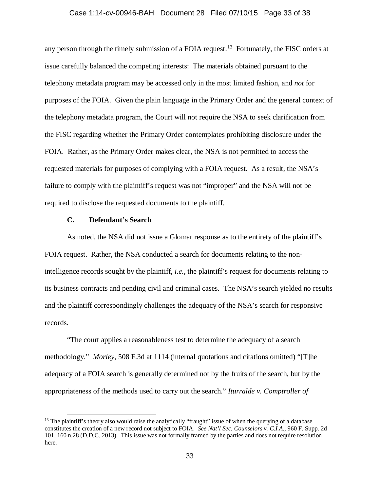### Case 1:14-cv-00946-BAH Document 28 Filed 07/10/15 Page 33 of 38

any person through the timely submission of a FOIA request.<sup>[13](#page-32-0)</sup> Fortunately, the FISC orders at issue carefully balanced the competing interests: The materials obtained pursuant to the telephony metadata program may be accessed only in the most limited fashion, and *not* for purposes of the FOIA. Given the plain language in the Primary Order and the general context of the telephony metadata program, the Court will not require the NSA to seek clarification from the FISC regarding whether the Primary Order contemplates prohibiting disclosure under the FOIA. Rather, as the Primary Order makes clear, the NSA is not permitted to access the requested materials for purposes of complying with a FOIA request. As a result, the NSA's failure to comply with the plaintiff's request was not "improper" and the NSA will not be required to disclose the requested documents to the plaintiff.

### **C. Defendant's Search**

As noted, the NSA did not issue a Glomar response as to the entirety of the plaintiff's FOIA request. Rather, the NSA conducted a search for documents relating to the nonintelligence records sought by the plaintiff, *i.e.*, the plaintiff's request for documents relating to its business contracts and pending civil and criminal cases. The NSA's search yielded no results and the plaintiff correspondingly challenges the adequacy of the NSA's search for responsive records.

"The court applies a reasonableness test to determine the adequacy of a search methodology." *Morley*, 508 F.3d at 1114 (internal quotations and citations omitted) "[T]he adequacy of a FOIA search is generally determined not by the fruits of the search, but by the appropriateness of the methods used to carry out the search." *Iturralde v. Comptroller of* 

<span id="page-32-0"></span><sup>&</sup>lt;sup>13</sup> The plaintiff's theory also would raise the analytically "fraught" issue of when the querying of a database constitutes the creation of a new record not subject to FOIA. *See Nat'l Sec. Counselors v. C.I.A*., 960 F. Supp. 2d 101, 160 n.28 (D.D.C. 2013). This issue was not formally framed by the parties and does not require resolution here.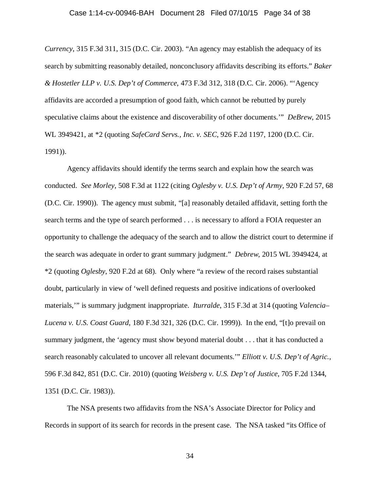## Case 1:14-cv-00946-BAH Document 28 Filed 07/10/15 Page 34 of 38

*Currency*, 315 F.3d 311, 315 (D.C. Cir. 2003). "An agency may establish the adequacy of its search by submitting reasonably detailed, nonconclusory affidavits describing its efforts." *Baker & Hostetler LLP v. U.S. Dep't of Commerce*, 473 F.3d 312, 318 (D.C. Cir. 2006). "'Agency affidavits are accorded a presumption of good faith, which cannot be rebutted by purely speculative claims about the existence and discoverability of other documents.'" *DeBrew*, 2015 WL 3949421, at \*2 (quoting *SafeCard Servs., Inc. v. SEC*, 926 F.2d 1197, 1200 (D.C. Cir. 1991)).

Agency affidavits should identify the terms search and explain how the search was conducted. *See Morley*, 508 F.3d at 1122 (citing *Oglesby v. U.S. Dep't of Army*, 920 F.2d 57, 68 (D.C. Cir. 1990)). The agency must submit, "[a] reasonably detailed affidavit, setting forth the search terms and the type of search performed . . . is necessary to afford a FOIA requester an opportunity to challenge the adequacy of the search and to allow the district court to determine if the search was adequate in order to grant summary judgment." *Debrew*, 2015 WL 3949424, at \*2 (quoting *Oglesby*, 920 F.2d at 68). Only where "a review of the record raises substantial doubt, particularly in view of 'well defined requests and positive indications of overlooked materials,'" is summary judgment inappropriate. *Iturralde*, 315 F.3d at 314 (quoting *Valencia– Lucena v. U.S. Coast Guard*, 180 F.3d 321, 326 (D.C. Cir. 1999)). In the end, "[t]o prevail on summary judgment, the 'agency must show beyond material doubt . . . that it has conducted a search reasonably calculated to uncover all relevant documents.'" *Elliott v. U.S. Dep't of Agric.*, 596 F.3d 842, 851 (D.C. Cir. 2010) (quoting *Weisberg v. U.S. Dep't of Justice*, 705 F.2d 1344, 1351 (D.C. Cir. 1983)).

The NSA presents two affidavits from the NSA's Associate Director for Policy and Records in support of its search for records in the present case. The NSA tasked "its Office of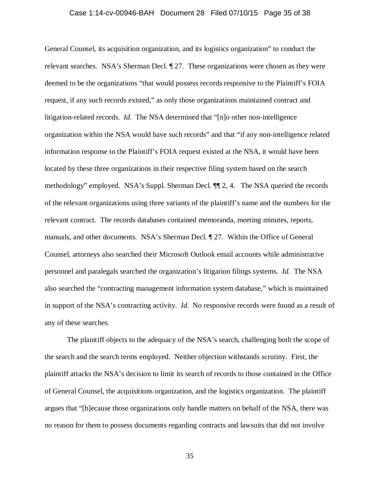## Case 1:14-cv-00946-BAH Document 28 Filed 07/10/15 Page 35 of 38

General Counsel, its acquisition organization, and its logistics organization" to conduct the relevant searches. NSA's Sherman Decl. ¶ 27. These organizations were chosen as they were deemed to be the organizations "that would possess records responsive to the Plaintiff's FOIA request, if any such records existed," as only those organizations maintained contract and litigation-related records. *Id.* The NSA determined that "[n]o other non-intelligence organization within the NSA would have such records" and that "if any non-intelligence related information response to the Plaintiff's FOIA request existed at the NSA, it would have been located by these three organizations in their respective filing system based on the search methodology" employed. NSA's Suppl. Sherman Decl. ¶¶ 2, 4. The NSA queried the records of the relevant organizations using three variants of the plaintiff's name and the numbers for the relevant contract. The records databases contained memoranda, meeting minutes, reports, manuals, and other documents. NSA's Sherman Decl. ¶ 27. Within the Office of General Counsel, attorneys also searched their Microsoft Outlook email accounts while administrative personnel and paralegals searched the organization's litigation filings systems. *Id.* The NSA also searched the "contracting management information system database," which is maintained in support of the NSA's contracting activity. *Id.* No responsive records were found as a result of any of these searches.

The plaintiff objects to the adequacy of the NSA's search, challenging both the scope of the search and the search terms employed. Neither objection withstands scrutiny. First, the plaintiff attacks the NSA's decision to limit its search of records to those contained in the Office of General Counsel, the acquisitions organization, and the logistics organization. The plaintiff argues that "[b]ecause those organizations only handle matters on behalf of the NSA, there was no reason for them to possess documents regarding contracts and lawsuits that did not involve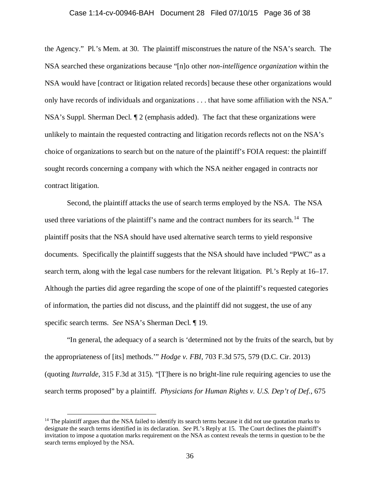#### Case 1:14-cv-00946-BAH Document 28 Filed 07/10/15 Page 36 of 38

the Agency." Pl.'s Mem. at 30. The plaintiff misconstrues the nature of the NSA's search. The NSA searched these organizations because "[n]o other *non-intelligence organization* within the NSA would have [contract or litigation related records] because these other organizations would only have records of individuals and organizations . . . that have some affiliation with the NSA." NSA's Suppl. Sherman Decl. ¶ 2 (emphasis added). The fact that these organizations were unlikely to maintain the requested contracting and litigation records reflects not on the NSA's choice of organizations to search but on the nature of the plaintiff's FOIA request: the plaintiff sought records concerning a company with which the NSA neither engaged in contracts nor contract litigation.

Second, the plaintiff attacks the use of search terms employed by the NSA. The NSA used three variations of the plaintiff's name and the contract numbers for its search.<sup>14</sup> The plaintiff posits that the NSA should have used alternative search terms to yield responsive documents. Specifically the plaintiff suggests that the NSA should have included "PWC" as a search term, along with the legal case numbers for the relevant litigation. Pl.'s Reply at 16–17. Although the parties did agree regarding the scope of one of the plaintiff's requested categories of information, the parties did not discuss, and the plaintiff did not suggest, the use of any specific search terms. *See* NSA's Sherman Decl. ¶ 19.

"In general, the adequacy of a search is 'determined not by the fruits of the search, but by the appropriateness of [its] methods.'" *Hodge v. FBI*, 703 F.3d 575, 579 (D.C. Cir. 2013) (quoting *Iturralde*, 315 F.3d at 315). "[T]here is no bright-line rule requiring agencies to use the search terms proposed" by a plaintiff. *Physicians for Human Rights v. U.S. Dep't of Def.*, 675

<span id="page-35-0"></span> $14$  The plaintiff argues that the NSA failed to identify its search terms because it did not use quotation marks to designate the search terms identified in its declaration. *See* Pl.'s Reply at 15. The Court declines the plaintiff's invitation to impose a quotation marks requirement on the NSA as context reveals the terms in question to be the search terms employed by the NSA.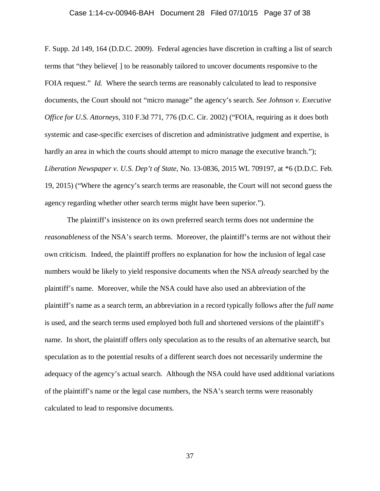## Case 1:14-cv-00946-BAH Document 28 Filed 07/10/15 Page 37 of 38

F. Supp. 2d 149, 164 (D.D.C. 2009). Federal agencies have discretion in crafting a list of search terms that "they believe[ ] to be reasonably tailored to uncover documents responsive to the FOIA request." *Id.* Where the search terms are reasonably calculated to lead to responsive documents, the Court should not "micro manage" the agency's search. *See Johnson v. Executive Office for U.S. Attorneys*, 310 F.3d 771, 776 (D.C. Cir. 2002) ("FOIA, requiring as it does both systemic and case-specific exercises of discretion and administrative judgment and expertise, is hardly an area in which the courts should attempt to micro manage the executive branch."); *Liberation Newspaper v. U.S. Dep't of State*, No. 13-0836, 2015 WL 709197, at \*6 (D.D.C. Feb. 19, 2015) ("Where the agency's search terms are reasonable, the Court will not second guess the agency regarding whether other search terms might have been superior.").

The plaintiff's insistence on its own preferred search terms does not undermine the *reasonableness* of the NSA's search terms. Moreover, the plaintiff's terms are not without their own criticism. Indeed, the plaintiff proffers no explanation for how the inclusion of legal case numbers would be likely to yield responsive documents when the NSA *already* searched by the plaintiff's name. Moreover, while the NSA could have also used an abbreviation of the plaintiff's name as a search term, an abbreviation in a record typically follows after the *full name* is used, and the search terms used employed both full and shortened versions of the plaintiff's name. In short, the plaintiff offers only speculation as to the results of an alternative search, but speculation as to the potential results of a different search does not necessarily undermine the adequacy of the agency's actual search. Although the NSA could have used additional variations of the plaintiff's name or the legal case numbers, the NSA's search terms were reasonably calculated to lead to responsive documents.